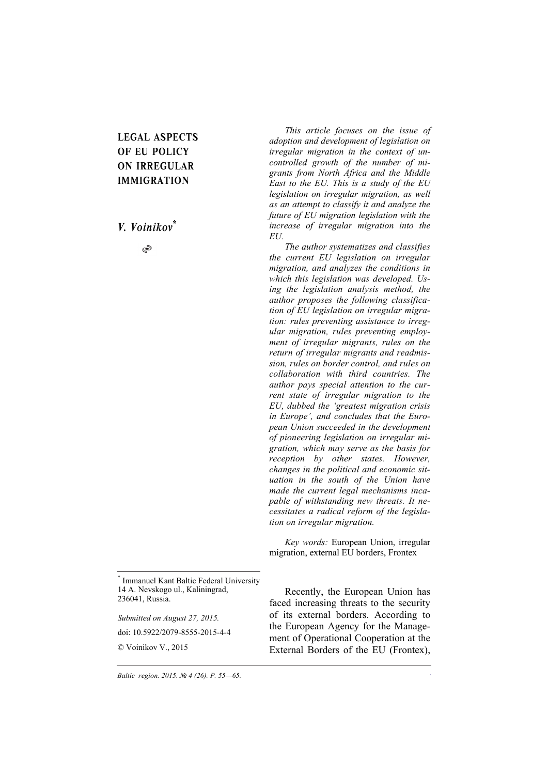# **LEGAL ASPECTS OF EU POLICY ON IRREGULAR IMMIGRATION**

*V. Voinikov\**

S

*This article focuses on the issue of adoption and development of legislation on irregular migration in the context of uncontrolled growth of the number of migrants from North Africa and the Middle East to the EU. This is a study of the EU legislation on irregular migration, as well as an attempt to classify it and analyze the future of EU migration legislation with the increase of irregular migration into the EU.* 

*The author systematizes and classifies the current EU legislation on irregular migration, and analyzes the conditions in which this legislation was developed. Using the legislation analysis method, the author proposes the following classification of EU legislation on irregular migration: rules preventing assistance to irregular migration, rules preventing employment of irregular migrants, rules on the return of irregular migrants and readmission, rules on border control, and rules on collaboration with third countries. The author pays special attention to the current state of irregular migration to the EU, dubbed the 'greatest migration crisis in Europe', and concludes that the European Union succeeded in the development of pioneering legislation on irregular migration, which may serve as the basis for reception by other states. However, changes in the political and economic situation in the south of the Union have made the current legal mechanisms incapable of withstanding new threats. It necessitates a radical reform of the legislation on irregular migration.* 

*Key words:* European Union, irregular migration, external EU borders, Frontex

\* Immanuel Kant Baltic Federal University 14 A. Nevskogo ul., Kaliningrad, 236041, Russia.

*Submitted on August 27, 2015.* 

doi: 10.5922/2079-8555-2015-4-4

© Voinikov V., 2015

Recently, the European Union has faced increasing threats to the security of its external borders. According to the European Agency for the Management of Operational Cooperation at the External Borders of the EU (Frontex),

*55*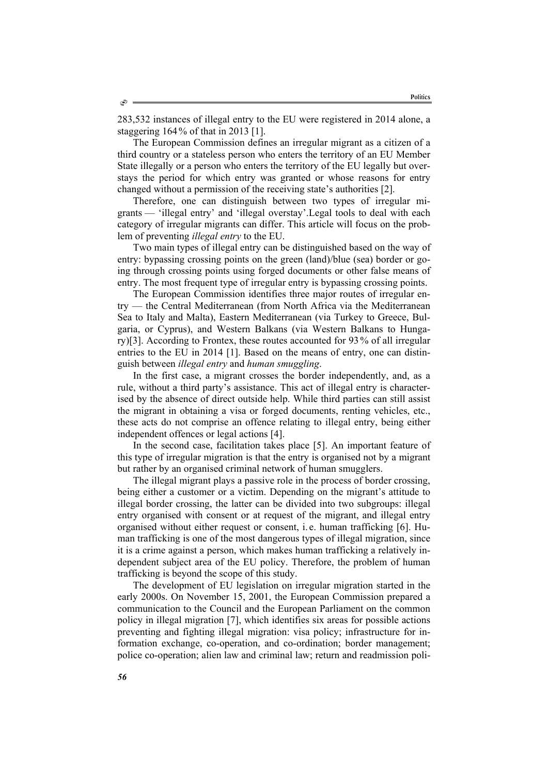283,532 instances of illegal entry to the EU were registered in 2014 alone, a staggering 164% of that in 2013 [1].

The European Commission defines an irregular migrant as a citizen of a third country or a stateless person who enters the territory of an EU Member State illegally or a person who enters the territory of the EU legally but overstays the period for which entry was granted or whose reasons for entry changed without a permission of the receiving state's authorities [2].

Therefore, one can distinguish between two types of irregular migrants — 'illegal entry' and 'illegal overstay'.Legal tools to deal with each category of irregular migrants can differ. This article will focus on the problem of preventing *illegal entry* to the EU.

Two main types of illegal entry can be distinguished based on the way of entry: bypassing crossing points on the green (land)/blue (sea) border or going through crossing points using forged documents or other false means of entry. The most frequent type of irregular entry is bypassing crossing points.

The European Commission identifies three major routes of irregular entry — the Central Mediterranean (from North Africa via the Mediterranean Sea to Italy and Malta), Eastern Mediterranean (via Turkey to Greece, Bulgaria, or Cyprus), and Western Balkans (via Western Balkans to Hungary)[3]. According to Frontex, these routes accounted for 93 % of all irregular entries to the EU in 2014 [1]. Based on the means of entry, one can distinguish between *illegal entry* and *human smuggling*.

In the first case, a migrant crosses the border independently, and, as a rule, without a third party's assistance. This act of illegal entry is characterised by the absence of direct outside help. While third parties can still assist the migrant in obtaining a visa or forged documents, renting vehicles, etc., these acts do not comprise an offence relating to illegal entry, being either independent offences or legal actions [4].

In the second case, facilitation takes place [5]. An important feature of this type of irregular migration is that the entry is organised not by a migrant but rather by an organised criminal network of human smugglers.

The illegal migrant plays a passive role in the process of border crossing, being either a customer or a victim. Depending on the migrant's attitude to illegal border crossing, the latter can be divided into two subgroups: illegal entry organised with consent or at request of the migrant, and illegal entry organised without either request or consent, i. e. human trafficking [6]. Human trafficking is one of the most dangerous types of illegal migration, since it is a crime against a person, which makes human trafficking a relatively independent subject area of the EU policy. Therefore, the problem of human trafficking is beyond the scope of this study.

The development of EU legislation on irregular migration started in the early 2000s. On November 15, 2001, the European Commission prepared a communication to the Council and the European Parliament on the common policy in illegal migration [7], which identifies six areas for possible actions preventing and fighting illegal migration: visa policy; infrastructure for information exchange, co-operation, and co-ordination; border management; police co-operation; alien law and criminal law; return and readmission poli-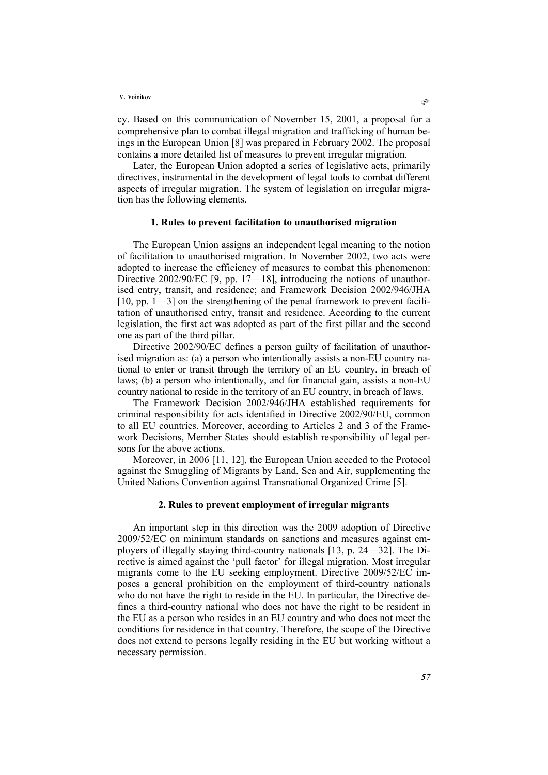cy. Based on this communication of November 15, 2001, a proposal for a comprehensive plan to combat illegal migration and trafficking of human beings in the European Union [8] was prepared in February 2002. The proposal contains a more detailed list of measures to prevent irregular migration.

Later, the European Union adopted a series of legislative acts, primarily directives, instrumental in the development of legal tools to combat different aspects of irregular migration. The system of legislation on irregular migration has the following elements.

## **1. Rules to prevent facilitation to unauthorised migration**

The European Union assigns an independent legal meaning to the notion of facilitation to unauthorised migration. In November 2002, two acts were adopted to increase the efficiency of measures to combat this phenomenon: Directive 2002/90/EC [9, pp. 17—18], introducing the notions of unauthorised entry, transit, and residence; and Framework Decision 2002/946/JHA [10, pp. 1—3] on the strengthening of the penal framework to prevent facilitation of unauthorised entry, transit and residence. According to the current legislation, the first act was adopted as part of the first pillar and the second one as part of the third pillar.

Directive 2002/90/EC defines a person guilty of facilitation of unauthorised migration as: (a) a person who intentionally assists a non-EU country national to enter or transit through the territory of an EU country, in breach of laws; (b) a person who intentionally, and for financial gain, assists a non-EU country national to reside in the territory of an EU country, in breach of laws.

The Framework Decision 2002/946/JHA established requirements for criminal responsibility for acts identified in Directive 2002/90/EU, common to all EU countries. Moreover, according to Articles 2 and 3 of the Framework Decisions, Member States should establish responsibility of legal persons for the above actions.

Moreover, in 2006 [11, 12], the European Union acceded to the Protocol against the Smuggling of Migrants by Land, Sea and Air, supplementing the United Nations Convention against Transnational Organized Crime [5].

#### **2. Rules to prevent employment of irregular migrants**

An important step in this direction was the 2009 adoption of Directive 2009/52/EC on minimum standards on sanctions and measures against employers of illegally staying third-country nationals [13, p. 24—32]. The Directive is aimed against the 'pull factor' for illegal migration. Most irregular migrants come to the EU seeking employment. Directive 2009/52/EC imposes a general prohibition on the employment of third-country nationals who do not have the right to reside in the EU. In particular, the Directive defines a third-country national who does not have the right to be resident in the EU as a person who resides in an EU country and who does not meet the conditions for residence in that country. Therefore, the scope of the Directive does not extend to persons legally residing in the EU but working without a necessary permission.

ා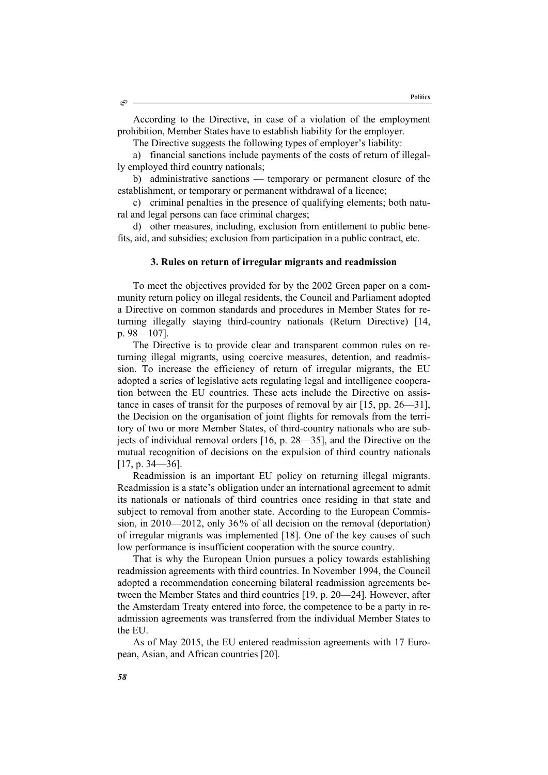According to the Directive, in case of a violation of the employment prohibition, Member States have to establish liability for the employer.

The Directive suggests the following types of employer's liability:

a) financial sanctions include payments of the costs of return of illegally employed third country nationals;

b) administrative sanctions — temporary or permanent closure of the establishment, or temporary or permanent withdrawal of a licence;

c) criminal penalties in the presence of qualifying elements; both natural and legal persons can face criminal charges;

d) other measures, including, exclusion from entitlement to public benefits, aid, and subsidies; exclusion from participation in a public contract, etc.

# **3. Rules on return of irregular migrants and readmission**

To meet the objectives provided for by the 2002 Green paper on a community return policy on illegal residents, the Council and Parliament adopted a Directive on common standards and procedures in Member States for returning illegally staying third-country nationals (Return Directive) [14, p. 98—107].

The Directive is to provide clear and transparent common rules on returning illegal migrants, using coercive measures, detention, and readmission. To increase the efficiency of return of irregular migrants, the EU adopted a series of legislative acts regulating legal and intelligence cooperation between the EU countries. These acts include the Directive on assistance in cases of transit for the purposes of removal by air [15, pp. 26—31], the Decision on the organisation of joint flights for removals from the territory of two or more Member States, of third-country nationals who are subjects of individual removal orders [16, p. 28—35], and the Directive on the mutual recognition of decisions on the expulsion of third country nationals [17, p. 34—36].

Readmission is an important EU policy on returning illegal migrants. Readmission is a state's obligation under an international agreement to admit its nationals or nationals of third countries once residing in that state and subject to removal from another state. According to the European Commission, in 2010—2012, only 36% of all decision on the removal (deportation) of irregular migrants was implemented [18]. One of the key causes of such low performance is insufficient cooperation with the source country.

That is why the European Union pursues a policy towards establishing readmission agreements with third countries. In November 1994, the Council adopted a recommendation concerning bilateral readmission agreements between the Member States and third countries [19, p. 20—24]. However, after the Amsterdam Treaty entered into force, the competence to be a party in readmission agreements was transferred from the individual Member States to the EU.

As of May 2015, the EU entered readmission agreements with 17 European, Asian, and African countries [20].

٩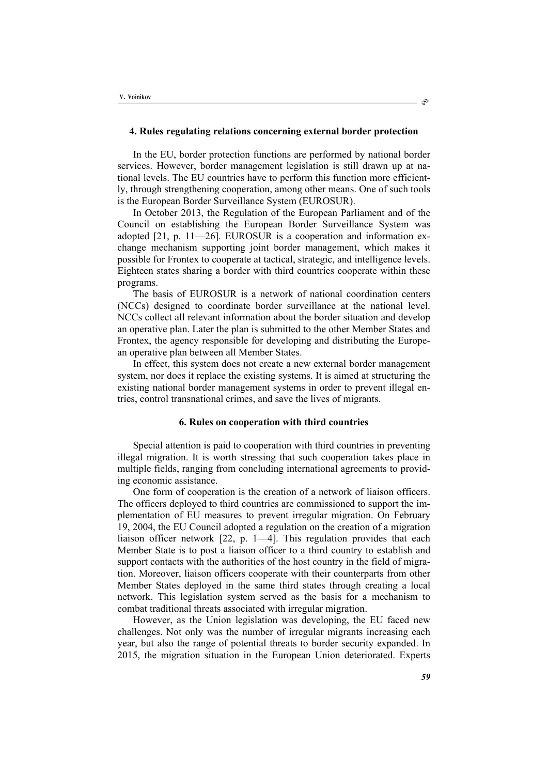## **4. Rules regulating relations concerning external border protection**

In the EU, border protection functions are performed by national border services. However, border management legislation is still drawn up at national levels. The EU countries have to perform this function more efficiently, through strengthening cooperation, among other means. One of such tools is the European Border Surveillance System (EUROSUR).

In October 2013, the Regulation of the European Parliament and of the Council on establishing the European Border Surveillance System was adopted [21, p. 11—26]. EUROSUR is a cooperation and information exchange mechanism supporting joint border management, which makes it possible for Frontex to cooperate at tactical, strategic, and intelligence levels. Eighteen states sharing a border with third countries cooperate within these programs.

The basis of EUROSUR is a network of national coordination centers (NCCs) designed to coordinate border surveillance at the national level. NCCs collect all relevant information about the border situation and develop an operative plan. Later the plan is submitted to the other Member States and Frontex, the agency responsible for developing and distributing the European operative plan between all Member States.

In effect, this system does not create a new external border management system, nor does it replace the existing systems. It is aimed at structuring the existing national border management systems in order to prevent illegal entries, control transnational crimes, and save the lives of migrants.

### **6. Rules on cooperation with third countries**

Special attention is paid to cooperation with third countries in preventing illegal migration. It is worth stressing that such cooperation takes place in multiple fields, ranging from concluding international agreements to providing economic assistance.

One form of cooperation is the creation of a network of liaison officers. The officers deployed to third countries are commissioned to support the implementation of EU measures to prevent irregular migration. On February 19, 2004, the EU Council adopted a regulation on the creation of a migration liaison officer network [22, p. 1—4]. This regulation provides that each Member State is to post a liaison officer to a third country to establish and support contacts with the authorities of the host country in the field of migration. Moreover, liaison officers cooperate with their counterparts from other Member States deployed in the same third states through creating a local network. This legislation system served as the basis for a mechanism to combat traditional threats associated with irregular migration.

However, as the Union legislation was developing, the EU faced new challenges. Not only was the number of irregular migrants increasing each year, but also the range of potential threats to border security expanded. In 2015, the migration situation in the European Union deteriorated. Experts

 $\circlearrowright$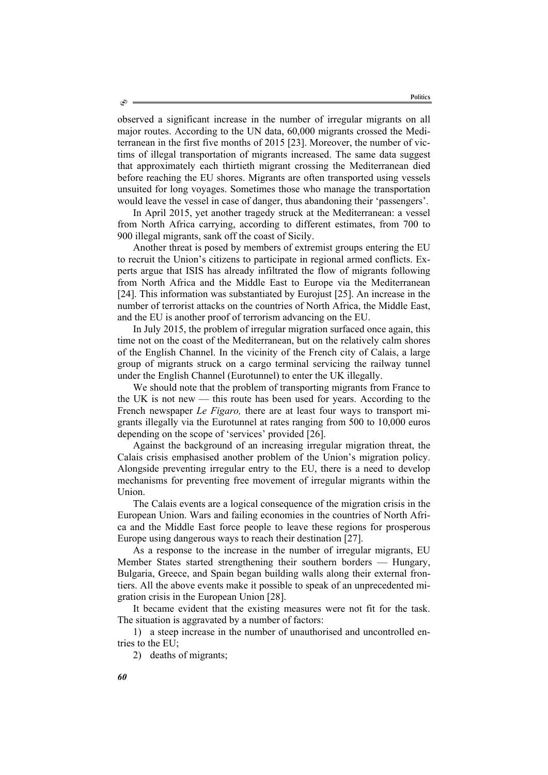observed a significant increase in the number of irregular migrants on all major routes. According to the UN data, 60,000 migrants crossed the Mediterranean in the first five months of 2015 [23]. Moreover, the number of victims of illegal transportation of migrants increased. The same data suggest that approximately each thirtieth migrant crossing the Mediterranean died before reaching the EU shores. Migrants are often transported using vessels unsuited for long voyages. Sometimes those who manage the transportation would leave the vessel in case of danger, thus abandoning their 'passengers'.

In April 2015, yet another tragedy struck at the Mediterranean: a vessel from North Africa carrying, according to different estimates, from 700 to 900 illegal migrants, sank off the coast of Sicily.

Another threat is posed by members of extremist groups entering the EU to recruit the Union's citizens to participate in regional armed conflicts. Experts argue that ISIS has already infiltrated the flow of migrants following from North Africa and the Middle East to Europe via the Mediterranean [24]. This information was substantiated by Eurojust [25]. An increase in the number of terrorist attacks on the countries of North Africa, the Middle East, and the EU is another proof of terrorism advancing on the EU.

In July 2015, the problem of irregular migration surfaced once again, this time not on the coast of the Mediterranean, but on the relatively calm shores of the English Channel. In the vicinity of the French city of Calais, a large group of migrants struck on a cargo terminal servicing the railway tunnel under the English Channel (Eurotunnel) to enter the UK illegally.

We should note that the problem of transporting migrants from France to the UK is not new — this route has been used for years. According to the French newspaper *Le Figaro,* there are at least four ways to transport migrants illegally via the Eurotunnel at rates ranging from 500 to 10,000 euros depending on the scope of 'services' provided [26].

Against the background of an increasing irregular migration threat, the Calais crisis emphasised another problem of the Union's migration policy. Alongside preventing irregular entry to the EU, there is a need to develop mechanisms for preventing free movement of irregular migrants within the Union.

The Calais events are a logical consequence of the migration crisis in the European Union. Wars and failing economies in the countries of North Africa and the Middle East force people to leave these regions for prosperous Europe using dangerous ways to reach their destination [27].

As a response to the increase in the number of irregular migrants, EU Member States started strengthening their southern borders — Hungary, Bulgaria, Greece, and Spain began building walls along their external frontiers. All the above events make it possible to speak of an unprecedented migration crisis in the European Union [28].

It became evident that the existing measures were not fit for the task. The situation is aggravated by a number of factors:

1) a steep increase in the number of unauthorised and uncontrolled entries to the EU;

2) deaths of migrants;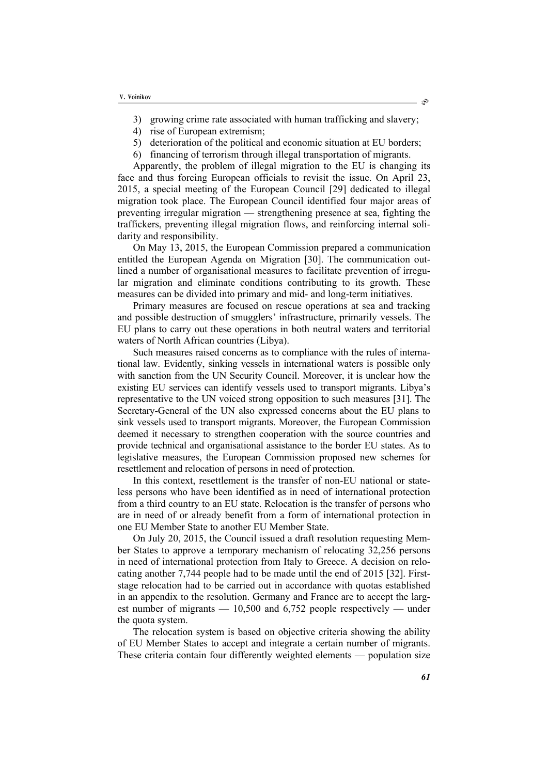- 3) growing crime rate associated with human trafficking and slavery;
- 4) rise of European extremism;
- 5) deterioration of the political and economic situation at EU borders;
- 6) financing of terrorism through illegal transportation of migrants.

Apparently, the problem of illegal migration to the EU is changing its face and thus forcing European officials to revisit the issue. On April 23, 2015, a special meeting of the European Council [29] dedicated to illegal migration took place. The European Council identified four major areas of preventing irregular migration — strengthening presence at sea, fighting the traffickers, preventing illegal migration flows, and reinforcing internal solidarity and responsibility.

On May 13, 2015, the European Commission prepared a communication entitled the European Agenda on Migration [30]. The communication outlined a number of organisational measures to facilitate prevention of irregular migration and eliminate conditions contributing to its growth. These measures can be divided into primary and mid- and long-term initiatives.

Primary measures are focused on rescue operations at sea and tracking and possible destruction of smugglers' infrastructure, primarily vessels. The EU plans to carry out these operations in both neutral waters and territorial waters of North African countries (Libya).

Such measures raised concerns as to compliance with the rules of international law. Evidently, sinking vessels in international waters is possible only with sanction from the UN Security Council. Moreover, it is unclear how the existing EU services can identify vessels used to transport migrants. Libya's representative to the UN voiced strong opposition to such measures [31]. The Secretary-General of the UN also expressed concerns about the EU plans to sink vessels used to transport migrants. Moreover, the European Commission deemed it necessary to strengthen cooperation with the source countries and provide technical and organisational assistance to the border EU states. As to legislative measures, the European Commission proposed new schemes for resettlement and relocation of persons in need of protection.

In this context, resettlement is the transfer of non-EU national or stateless persons who have been identified as in need of international protection from a third country to an EU state. Relocation is the transfer of persons who are in need of or already benefit from a form of international protection in one EU Member State to another EU Member State.

On July 20, 2015, the Council issued a draft resolution requesting Member States to approve a temporary mechanism of relocating 32,256 persons in need of international protection from Italy to Greece. A decision on relocating another 7,744 people had to be made until the end of 2015 [32]. Firststage relocation had to be carried out in accordance with quotas established in an appendix to the resolution. Germany and France are to accept the largest number of migrants  $-10,500$  and 6,752 people respectively  $-$  under the quota system.

The relocation system is based on objective criteria showing the ability of EU Member States to accept and integrate a certain number of migrants. These criteria contain four differently weighted elements — population size

ා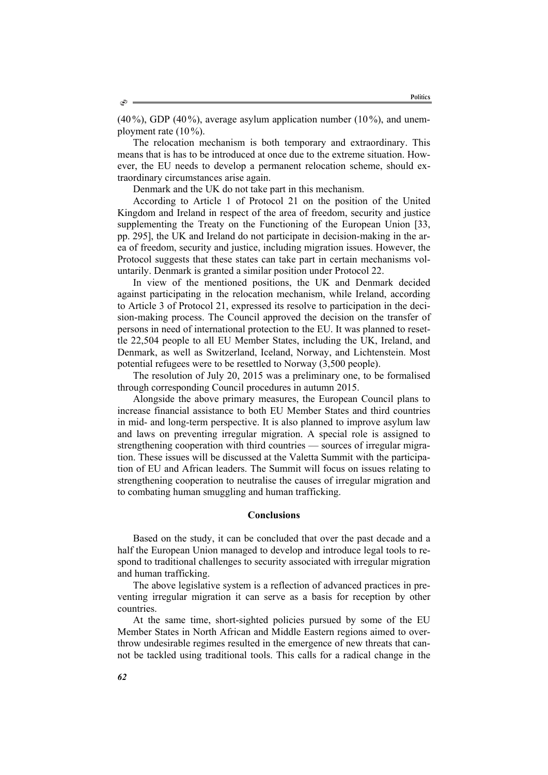$(40\%)$ , GDP  $(40\%)$ , average asylum application number  $(10\%)$ , and unemployment rate  $(10\%)$ .

The relocation mechanism is both temporary and extraordinary. This means that is has to be introduced at once due to the extreme situation. However, the EU needs to develop a permanent relocation scheme, should extraordinary circumstances arise again.

Denmark and the UK do not take part in this mechanism.

According to Article 1 of Protocol 21 on the position of the United Kingdom and Ireland in respect of the area of freedom, security and justice supplementing the Treaty on the Functioning of the European Union [33, pp. 295], the UK and Ireland do not participate in decision-making in the area of freedom, security and justice, including migration issues. However, the Protocol suggests that these states can take part in certain mechanisms voluntarily. Denmark is granted a similar position under Protocol 22.

In view of the mentioned positions, the UK and Denmark decided against participating in the relocation mechanism, while Ireland, according to Article 3 of Protocol 21, expressed its resolve to participation in the decision-making process. The Council approved the decision on the transfer of persons in need of international protection to the EU. It was planned to resettle 22,504 people to all EU Member States, including the UK, Ireland, and Denmark, as well as Switzerland, Iceland, Norway, and Lichtenstein. Most potential refugees were to be resettled to Norway (3,500 people).

The resolution of July 20, 2015 was a preliminary one, to be formalised through corresponding Council procedures in autumn 2015.

Alongside the above primary measures, the European Council plans to increase financial assistance to both EU Member States and third countries in mid- and long-term perspective. It is also planned to improve asylum law and laws on preventing irregular migration. A special role is assigned to strengthening cooperation with third countries — sources of irregular migration. These issues will be discussed at the Valetta Summit with the participation of EU and African leaders. The Summit will focus on issues relating to strengthening cooperation to neutralise the causes of irregular migration and to combating human smuggling and human trafficking.

# **Conclusions**

Based on the study, it can be concluded that over the past decade and a half the European Union managed to develop and introduce legal tools to respond to traditional challenges to security associated with irregular migration and human trafficking.

The above legislative system is a reflection of advanced practices in preventing irregular migration it can serve as a basis for reception by other countries.

At the same time, short-sighted policies pursued by some of the EU Member States in North African and Middle Eastern regions aimed to overthrow undesirable regimes resulted in the emergence of new threats that cannot be tackled using traditional tools. This calls for a radical change in the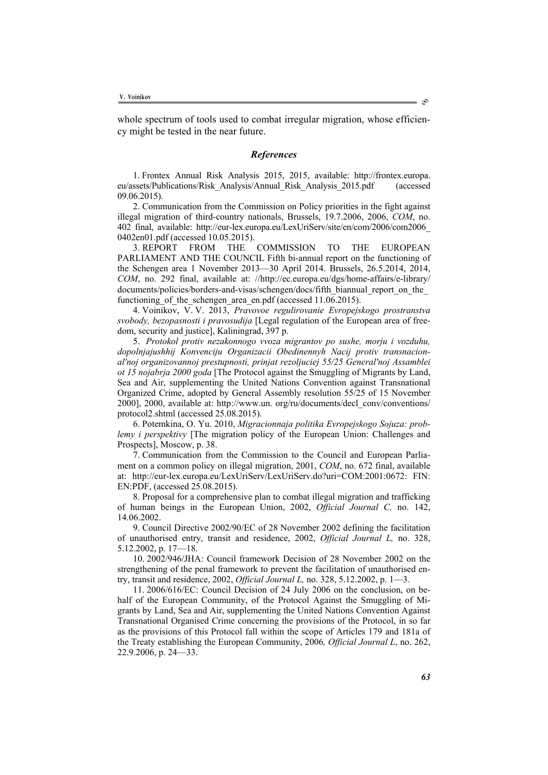whole spectrum of tools used to combat irregular migration, whose efficiency might be tested in the near future.

#### *References*

1. Frontex Annual Risk Analysis 2015, 2015, available: http://frontex.europa. eu/assets/Publications/Risk\_Analysis/Annual\_Risk\_Analysis\_2015.pdf (accessed 09.06.2015).

2. Communication from the Commission on Policy priorities in the fight against illegal migration of third-country nationals, Brussels, 19.7.2006, 2006, *COM*, no. 402 final, available: http://eur-lex.europa.eu/LexUriServ/site/en/com/2006/com2006\_ 0402en01.pdf (accessed 10.05.2015).<br>3. REPORT FROM THE

3. REPORT FROM THE COMMISSION TO THE EUROPEAN PARLIAMENT AND THE COUNCIL Fifth bi-annual report on the functioning of the Schengen area 1 November 2013—30 April 2014. Brussels, 26.5.2014, 2014, *COM*, no. 292 final, available at: //http://ec.europa.eu/dgs/home-affairs/e-library/ documents/policies/borders-and-visas/schengen/docs/fifth\_biannual\_report\_on\_the\_ functioning of the schengen area en.pdf (accessed 11.06.2015).

4. Voinikov, V. V. 2013, *Pravovoe regulirovanie Evropejskogo prostranstva svobody, bezopasnosti i pravosudija* [Legal regulation of the European area of freedom, security and justice], Kaliningrad, 397 p.

5. *Protokol protiv nezakonnogo vvoza migrantov po sushe, morju i vozduhu, dopolnjajushhij Konvenciju Organizacii Obedinennyh Nacij protiv transnacional'noj organizovannoj prestupnosti, prinjat rezoljuciej 55/25 General'noj Assamblei ot 15 nojabrja 2000 goda* [The Protocol against the Smuggling of Migrants by Land, Sea and Air, supplementing the United Nations Convention against Transnational Organized Crime, adopted by General Assembly resolution 55/25 of 15 November 2000], 2000, available at: http://www.un. org/ru/documents/decl\_conv/conventions/ protocol2.shtml (accessed 25.08.2015).

6. Potemkina, О. Yu. 2010, *Migracionnaja politika Evropejskogo Sojuza: problemy i perspektivy* [The migration policy of the European Union: Challenges and Prospects], Moscow, p. 38.

7. Communication from the Commission to the Council and European Parliament on a common policy on illegal migration, 2001, *COM*, no. 672 final, available at: http://eur-lex.europa.eu/LexUriServ/LexUriServ.do?uri=COM:2001:0672: FIN: EN:PDF, (accessed 25.08.2015).

8. Proposal for a comprehensive plan to combat illegal migration and trafficking of human beings in the European Union, 2002, *Official Journal C,* no. 142, 14.06.2002.

9. Council Directive 2002/90/EC of 28 November 2002 defining the facilitation of unauthorised entry, transit and residence, 2002, *Official Journal L,* no. 328, 5.12.2002, p. 17—18.

10. 2002/946/JHA: Council framework Decision of 28 November 2002 on the strengthening of the penal framework to prevent the facilitation of unauthorised entry, transit and residence, 2002, *Official Journal L,* no. 328, 5.12.2002, p. 1—3.

11. 2006/616/EC: Council Decision of 24 July 2006 on the conclusion, on behalf of the European Community, of the Protocol Against the Smuggling of Migrants by Land, Sea and Air, supplementing the United Nations Convention Against Transnational Organised Crime concerning the provisions of the Protocol, in so far as the provisions of this Protocol fall within the scope of Articles 179 and 181a of the Treaty establishing the European Community, 2006*, Official Journal L*, no. 262, 22.9.2006, p. 24—33.

S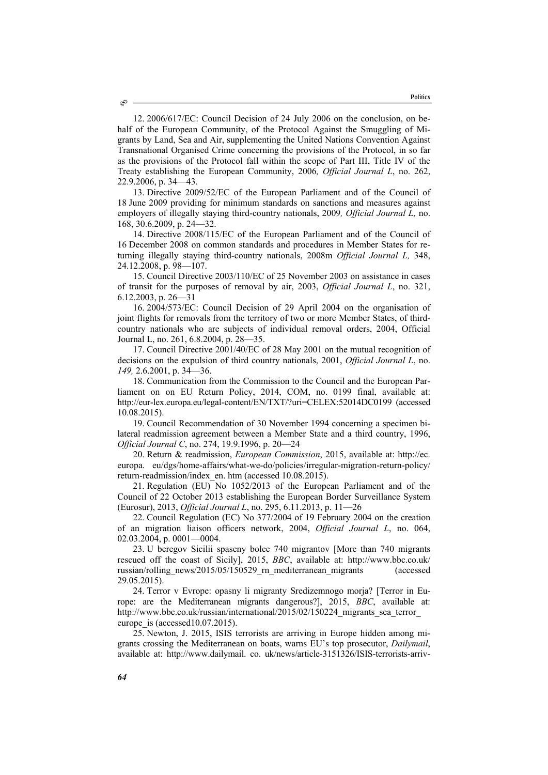12. 2006/617/EC: Council Decision of 24 July 2006 on the conclusion, on behalf of the European Community, of the Protocol Against the Smuggling of Migrants by Land, Sea and Air, supplementing the United Nations Convention Against Transnational Organised Crime concerning the provisions of the Protocol, in so far as the provisions of the Protocol fall within the scope of Part III, Title IV of the Treaty establishing the European Community, 2006*, Official Journal L*, no. 262, 22.9.2006, p. 34—43.

13. Directive 2009/52/EC of the European Parliament and of the Council of 18 June 2009 providing for minimum standards on sanctions and measures against employers of illegally staying third-country nationals, 2009*, Official Journal L,* no. 168, 30.6.2009, p. 24—32.

14. Directive 2008/115/EC of the European Parliament and of the Council of 16 December 2008 on common standards and procedures in Member States for returning illegally staying third-country nationals, 2008m *Official Journal L,* 348, 24.12.2008, p. 98—107.

15. Council Directive 2003/110/EC of 25 November 2003 on assistance in cases of transit for the purposes of removal by air, 2003, *Official Journal L*, no. 321, 6.12.2003, p. 26—31

16. 2004/573/EC: Council Decision of 29 April 2004 on the organisation of joint flights for removals from the territory of two or more Member States, of thirdcountry nationals who are subjects of individual removal orders, 2004, Official Journal L, no. 261, 6.8.2004, p. 28—35.

17. Council Directive 2001/40/EC of 28 May 2001 on the mutual recognition of decisions on the expulsion of third country nationals, 2001, *Official Journal L*, no. *149,* 2.6.2001, p. 34—36.

18. Communication from the Commission to the Council and the European Parliament on on EU Return Policy, 2014, COM, no. 0199 final, available at: http://eur-lex.europa.eu/legal-content/EN/TXT/?uri=CELEX:52014DC0199 (accessed 10.08.2015).

19. Council Recommendation of 30 November 1994 concerning a specimen bilateral readmission agreement between a Member State and a third country, 1996, *Official Journal C*, no. 274, 19.9.1996, p. 20—24

20. Return & readmission, *European Commission*, 2015, available at: http://ec. europa. eu/dgs/home-affairs/what-we-do/policies/irregular-migration-return-policy/ return-readmission/index\_en. htm (accessed 10.08.2015).

21. Regulation (EU) No 1052/2013 of the European Parliament and of the Council of 22 October 2013 establishing the European Border Surveillance System (Eurosur), 2013, *Official Journal L*, no. 295, 6.11.2013, p. 11—26

22. Council Regulation (EC) No 377/2004 of 19 February 2004 on the creation of an migration liaison officers network, 2004, *Official Journal L*, no. 064, 02.03.2004, p. 0001—0004.

23. U beregov Sicilii spaseny bolee 740 migrantov [More than 740 migrants rescued off the coast of Sicily], 2015, *BBC*, available at: http://www.bbc.co.uk/ russian/rolling\_news/2015/05/150529\_rn\_mediterranean\_migrants (accessed 29.05.2015).

24. Terror v Evrope: opasny li migranty Sredizemnogo morja? [Terror in Europe: are the Mediterranean migrants dangerous?], 2015, *BBC*, available at: http://www.bbc.co.uk/russian/international/2015/02/150224 migrants sea terror europe is (accessed10.07.2015).

25. Newton, J. 2015, ISIS terrorists are arriving in Europe hidden among migrants crossing the Mediterranean on boats, warns EU's top prosecutor, *Dailymail*, available at: http://www.dailymail. co. uk/news/article-3151326/ISIS-terrorists-arriv-

۵